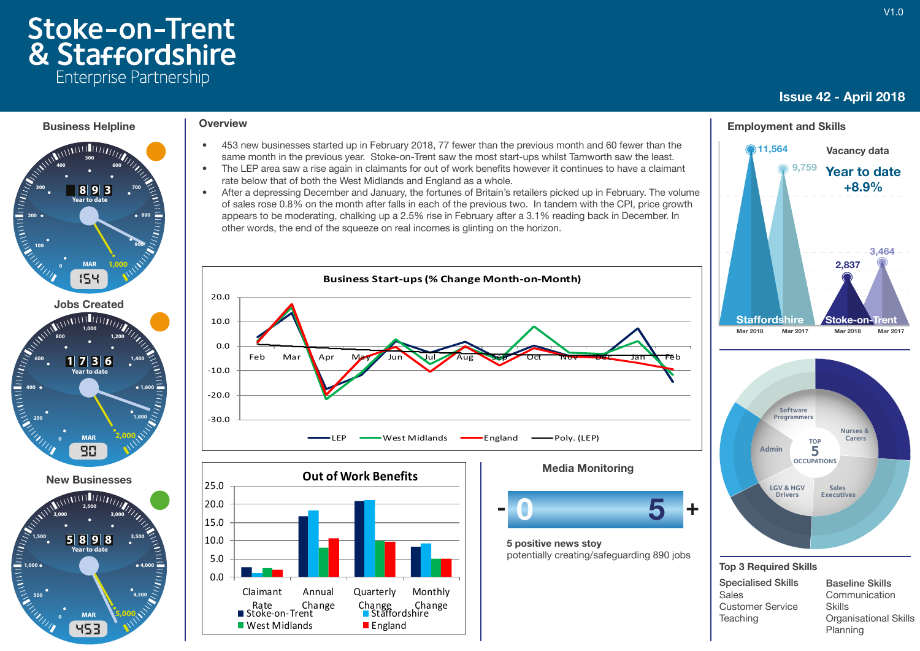# **Stoke-on-Trent** & Staffordshire Enterprise Partnership

## Issue 42 - April 2018

11,564



 $0.0$ 5.0 10.0 15.0 20.0

Claimant

Rate Ch<br>Stoke-on-Trent

Annual Change

 $\blacksquare$  West Midlands  $\blacksquare$  England

Rate Change Change Change<br>Stoke-on-Trent Staffordshire

**Quarterly** 

- 453 new businesses started up in February 2018, 77 fewer than the previous month and 60 fewer than the same month in the previous year. Stoke-on-Trent saw the most start-ups whilst Tamworth saw the least.
- The LEP area saw a rise again in claimants for out of work benefits however it continues to have a claimant rate below that of both the West Midlands and England as a whole.
- After a depressing December and January, the fortunes of Britain's retailers picked up in February. The volume of sales rose 0.8% on the month after falls in each of the previous two. In tandem with the CPI, price growth appears to be moderating, chalking up a 2.5% rise in February after a 3.1% reading back in December. In other words, the end of the squeeze on real incomes is glinting on the horizon.



Monthly Change



5 positive news stoy potentially creating/safeguarding 890 jobs

#### 9,759 Year to date





#### Top 3 Required Skills

| <b>Specialised Skills</b> |
|---------------------------|
| Sales                     |
| <b>Customer Service</b>   |
| Teaching                  |
|                           |

Baseline Skills Communication Skills Organisational Skills Planning

Vacancy data